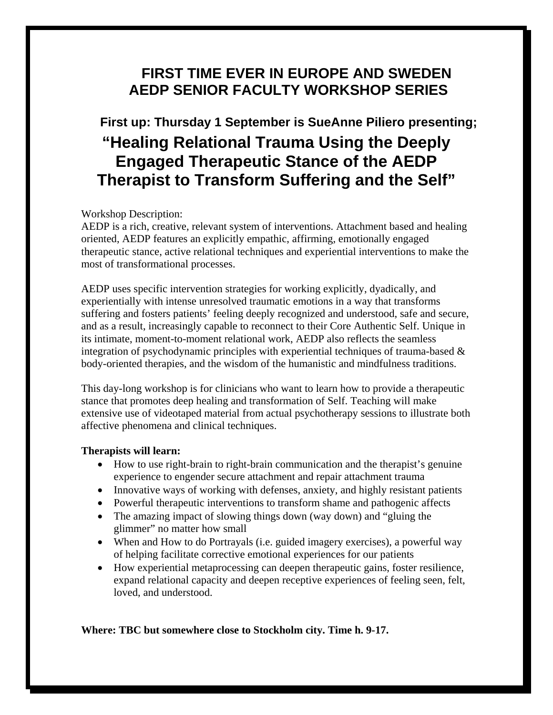## **FIRST TIME EVER IN EUROPE AND SWEDEN AEDP SENIOR FACULTY WORKSHOP SERIES**

# **First up: Thursday 1 September is SueAnne Piliero presenting; "Healing Relational Trauma Using the Deeply Engaged Therapeutic Stance of the AEDP Therapist to Transform Suffering and the Self"**

### Workshop Description:

AEDP is a rich, creative, relevant system of interventions. Attachment based and healing oriented, AEDP features an explicitly empathic, affirming, emotionally engaged therapeutic stance, active relational techniques and experiential interventions to make the most of transformational processes.

AEDP uses specific intervention strategies for working explicitly, dyadically, and experientially with intense unresolved traumatic emotions in a way that transforms suffering and fosters patients' feeling deeply recognized and understood, safe and secure, and as a result, increasingly capable to reconnect to their Core Authentic Self. Unique in its intimate, moment-to-moment relational work, AEDP also reflects the seamless integration of psychodynamic principles with experiential techniques of trauma-based  $\&$ body-oriented therapies, and the wisdom of the humanistic and mindfulness traditions.

This day-long workshop is for clinicians who want to learn how to provide a therapeutic stance that promotes deep healing and transformation of Self. Teaching will make extensive use of videotaped material from actual psychotherapy sessions to illustrate both affective phenomena and clinical techniques.

#### **Therapists will learn:**

- How to use right-brain to right-brain communication and the therapist's genuine experience to engender secure attachment and repair attachment trauma
- Innovative ways of working with defenses, anxiety, and highly resistant patients
- Powerful therapeutic interventions to transform shame and pathogenic affects
- The amazing impact of slowing things down (way down) and "gluing the glimmer" no matter how small
- When and How to do Portrayals (i.e. guided imagery exercises), a powerful way of helping facilitate corrective emotional experiences for our patients
- How experiential metaprocessing can deepen therapeutic gains, foster resilience, expand relational capacity and deepen receptive experiences of feeling seen, felt, loved, and understood.

**Where: TBC but somewhere close to Stockholm city. Time h. 9-17.**